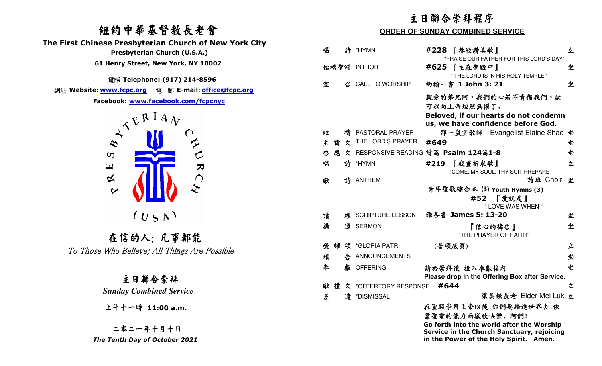## 紐約中華基督教長老會 **The First Chinese Presbyterian Church of New York City Presbyterian Church (U.S.A.) 61 Henry Street, New York, NY 10002**

電話 **Telephone: (917) 214-8596** 

網址 **Website: www.fcpc.org** 電 郵 **E-mail: office@fcpc.org**



 在信的人; 凡事都能To Those Who Believe; All Things Are Possible

|                                                                                                                         | 主日聯合崇拜程序                                |          |                             |                                                                                                                                   |   |  |
|-------------------------------------------------------------------------------------------------------------------------|-----------------------------------------|----------|-----------------------------|-----------------------------------------------------------------------------------------------------------------------------------|---|--|
| 纽约中華基督教長老會                                                                                                              | <b>ORDER OF SUNDAY COMBINED SERVICE</b> |          |                             |                                                                                                                                   |   |  |
| hinese Presbyterian Church of New York City<br>Presbyterian Church (U.S.A.)                                             | 唱                                       |          | 詩 *HYMN                     | #228 【恭敬讚美歌】                                                                                                                      | 立 |  |
| 61 Henry Street, New York, NY 10002                                                                                     |                                         |          | 始禮聖頌 INTROIT                | "PRAISE OUR FATHER FOR THIS LORD'S DAY"<br>#625 【主在聖殿中】<br>" THE LORD IS IN HIS HOLY TEMPLE "                                     | 坐 |  |
| 電話 Telephone: (917) 214-8596                                                                                            | 宣                                       | <i>य</i> | <b>CALL TO WORSHIP</b>      | 約翰一書 1 John 3: 21                                                                                                                 | 坐 |  |
| Facebook: www.facebook.com/fcpcnyc<br>JERIAN                                                                            |                                         |          |                             | 親愛的弟兄阿,我們的心若不責備我們,就<br>可以向上帝坦然無懼了.<br>Beloved, if our hearts do not condemn<br>us, we have confidence before God.                 |   |  |
|                                                                                                                         | 牧                                       |          | PASTORAL PRAYER             | 邵一嵐宣教師 Evangelist Elaine Shao 坐                                                                                                   |   |  |
| $\hat{z}$                                                                                                               | 禱<br>主                                  | 文        | THE LORD'S PRAYER           | #649                                                                                                                              | 坐 |  |
| $\infty$<br>$\pmb{\sqcup}$<br>$\blacktriangleright$<br>$\approx$<br>$\bigcap$<br>$\bm{\Delta}$<br>$\blacktriangleright$ | 啓                                       |          |                             | 文 RESPONSIVE READING 詩篇 Psalm 124篇1-8                                                                                             | 坐 |  |
|                                                                                                                         | 唱                                       | 詩        | *HYMN                       | 『我靈祈求歌』<br>#219<br>"COME, MY SOUL, THY SUIT PREPARE"                                                                              | 立 |  |
|                                                                                                                         | 獻                                       |          | 詩 ANTHEM                    | 詩班 Choir 坐<br>青年聖歌綜合本 (3) Youth Hymns (3)<br>#52 『愛就是』<br>" LOVE WAS WHEN "                                                       |   |  |
| $(U_S A)$                                                                                                               | 讀                                       |          | <b>經 SCRIPTURE LESSON</b>   | 雅各書 James 5: 13-20                                                                                                                | 坐 |  |
| 在信的人;凡事都能                                                                                                               | 講                                       |          | 道 SERMON                    | 『信心的禱告』<br>"THE PRAYER OF FAITH"                                                                                                  | 坐 |  |
|                                                                                                                         | 榮                                       |          | 頌 *GLORIA PATRI             | (普頌底頁)                                                                                                                            | 立 |  |
| Those Who Believe; All Things Are Possible                                                                              | 報                                       | 告        | ANNOUNCEMENTS               |                                                                                                                                   | 坐 |  |
| 主日聯合崇拜                                                                                                                  | 奉                                       |          | 獻 OFFERING                  | 請於崇拜後,投入奉獻箱内<br>Please drop in the Offering Box after Service.                                                                    | 坐 |  |
|                                                                                                                         |                                         |          | 禮文 *OFFERTORY RESPONSE #644 |                                                                                                                                   | 立 |  |
| <b>Sunday Combined Service</b>                                                                                          | 差                                       |          | 遣 *DISMISSAL                | 梁美娥長老 Elder Mei Luk 立                                                                                                             |   |  |
| 上午十一時 11:00 a.m.                                                                                                        |                                         |          |                             | 在聖殿崇拜上帝以後,你們要踏進世界去,依<br>靠聖靈的能力而歡欣快樂. 阿們!                                                                                          |   |  |
| 二零二一年十月十日<br>The Tenth Day of October 2021                                                                              |                                         |          |                             | Go forth into the world after the Worship<br>Service in the Church Sanctuary, rejoicing<br>in the Power of the Holy Spirit. Amen. |   |  |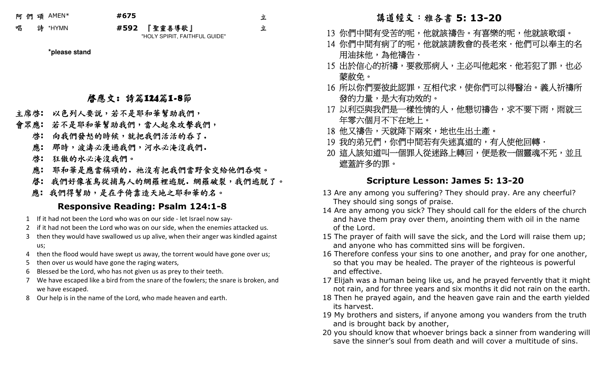阿 們 頌AMEN\* **#675** 

唱 詩 \*HYMN **#592**

立

立

2 『聖靈善導歌』 "HOLY SPIRIT, FAITHFUL GUIDE"

**\*please stand**

啟應文: 詩篇124篇1-8節

- 主席啟**:** 以色列人要說,若不是耶和華幫助我們,
- 會眾應**:** 若不是耶和華幫助我們,當人起來攻擊我們,
	- 向我們發怒的時候,就把我們活活的吞了.啟**:**
	- 那時,波濤必漫過我們,河水必淹沒我們.應**:**
	- 狂傲的水必淹沒我們。啟**:**
	- 耶和華是應當稱頌的。祂沒有把我們當野食交給他們吞喫。 應**:**
- 啟**:** 我們好像雀鳥從捕鳥人的網羅裡逃脫.網羅破裂,我們逃脫了。
	- 應**:** 我們得幫助,是在乎倚靠造天地之耶和華的名。

### **Responsive Reading: Psalm 124:1-8**

- 1 If it had not been the Lord who was on our side let Israel now say-
- 2 if it had not been the Lord who was on our side, when the enemies attacked us.
- 3 then they would have swallowed us up alive, when their anger was kindled against us;
- 4 then the flood would have swept us away, the torrent would have gone over us;
- 5 then over us would have gone the raging waters,
- 6 Blessed be the Lord, who has not given us as prey to their teeth.
- 7 We have escaped like a bird from the snare of the fowlers; the snare is broken, and we have escaped.
- 8 Our help is in the name of the Lord, who made heaven and earth.

### 講道經文:雅各書 **5: 13-20**

- 13 你們中間有受苦的呢,他就該禱告。有喜樂的呢,他就該歌頌。
- 14 你們中間有病了的呢,他就該請教會的長老來.他們可以奉主的名 用油抹他,為他禱告.
- 15 出於信心的祈禱,要救那病人,主必叫他起來.他若犯了罪,也必 蒙赦免。
- 16 所以你們要彼此認罪,互相代求,使你們可以得醫治。義人祈禱所 發的力量,是大有功效的。」
- 17 以利亞與我們是一樣性情的人,他懇切禱告,求不要下雨,雨就三 年零六個月不下在地上。
- 18 他又禱告,天就降下兩來,地也生出土產。
- 19 我的弟兄們,你們中間若有失迷真道的,有人使他回轉.
- 20 這人該知道叫一個罪人從迷路上轉回,便是救一個靈魂不死,並且 遮蓋許多的罪。

### **Scripture Lesson: James 5: 13-20**

- 13 Are any among you suffering? They should pray. Are any cheerful? They should sing songs of praise.
- 14 Are any among you sick? They should call for the elders of the church and have them pray over them, anointing them with oil in the name of the Lord.
- 15 The prayer of faith will save the sick, and the Lord will raise them up; and anyone who has committed sins will be forgiven.
- 16 Therefore confess your sins to one another, and pray for one another, so that you may be healed. The prayer of the righteous is powerful and effective.
- 17 Elijah was a human being like us, and he prayed fervently that it might not rain, and for three years and six months it did not rain on the earth.
- 18 Then he prayed again, and the heaven gave rain and the earth yielded its harvest.
- 19 My brothers and sisters, if anyone among you wanders from the truth and is brought back by another,
- 20 you should know that whoever brings back a sinner from wandering will save the sinner's soul from death and will cover a multitude of sins.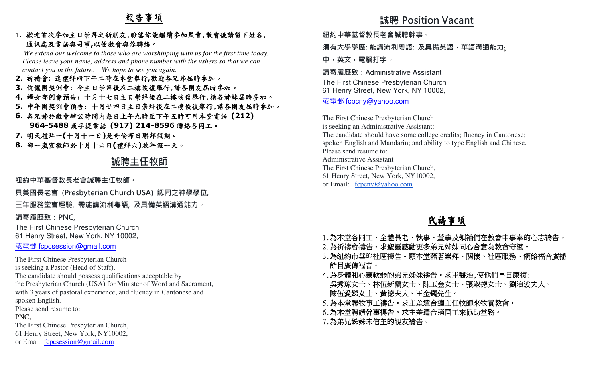# 報告事項

### 1. 歡迎首次參加主日崇拜之新朋友,盼望你能繼續參加聚會,散會後請留下姓名, 通訊處及電話與司事**,**<sup>以</sup>便教會與你聯絡。

 *We extend our welcome to those who are worshipping with us for the first time today. Please leave your name, address and phone number with the ushers so that we can contact you in the future. We hope to see you again.*

**2.** 祈禱會**:** 逢禮拜四下午二時在本堂舉行**,**歡迎各兄姊屆時參加。 **3.** 伉儷團契例會: 今主日崇拜後在二樓恢復舉行,請各團友屆時參加。 **4.** 婦女部例會預告: 十月十七日主日崇拜後在二樓恢復舉行,請各姊妹屆時參加。 **5.** 中年團契例會預告: 十月廿四日主日崇拜後在二樓恢復舉行,請各團友屆時參加。 **6.** 各兄姊於教會辦公時間內每日上午九時至下午五時可用本堂電話 **(212) 964-5488**或手提電話 **(917) 214-8596**聯絡各同工。 **7.** 明天禮拜一**(**十月十一日**)**是哥倫布日聯邦假期。**8.** 邵一嵐宣教師於十月十六日**(**禮拜六**)**放年假一天。

# **誠聘主任牧師**

**紐約中華基督教⻑老會誠聘主任牧師。** 

**具美國⻑老會 (Presbyterian Church USA) 認同之神學學位,** 

**三年服務堂會經驗, 需能講流利粵語, 及具備英語溝通能力。** 

### **請寄履歷致:PNC,**

The First Chinese Presbyterian Church61 Henry Street, New York, NY 10002,

或電郵 fcpcsession@gmail.com

The First Chinese Presbyterian Churchis seeking a Pastor (Head of Staff). The candidate should possess qualifications acceptable by the Presbyterian Church (USA) for Minister of Word and Sacrament, with 3 years of pastoral experience, and fluency in Cantonese and spoken English. Please send resume to: PNC, The First Chinese Presbyterian Church,61 Henry Street, New York, NY10002,or Email: fcpcsession@gmail.com

## **誠聘 Position Vacant**

**紐約中華基督教⻑老會誠聘幹事。** 

**須有大學學歷; 能講流利粵語; 及具備英語,華語溝通能力**;

**中,英文,電腦打字。**

**請寄履歷致:**Administrative AssistantThe First Chinese Presbyterian Church61 Henry Street, New York, NY 10002,

# <u>或電郵 fcpcny@yahoo.com</u>

The First Chinese Presbyterian Church is seeking an Administrative Assistant: The candidate should have some college credits; fluency in Cantonese; spoken English and Mandarin; and ability to type English and Chinese.Please send resume to: Administrative Assistant The First Chinese Presbyterian Church, 61 Henry Street, New York, NY10002,or Email: fcpcny@yahoo.com

# 代禱事項

- 1.為本堂各同工、全體長老、執事、董事及領袖們在教會中事奉的心志禱告。
- 2.為祈禱會禱告。求聖靈感動更多弟兄姊妹同心合意為教會守望。
- 3.為紐約市華埠社區禱告。願本堂藉著崇拜、關懷、社區服務、網絡福音廣播 節目廣傳福音。
- 4.為身體和心靈軟弱的弟兄姊妹禱告。求主醫治,使他們早日康復: 吳秀琼女士、林伍新蘭女士、陳玉金女士、張淑德女士、劉浪波夫人、 陳伍愛娣女士、黃德夫人、王金鐲先生。
- 5.為本堂聘牧事工禱告。求主差遣合適主任牧師來牧養教會。
- 6.為本堂聘請幹事禱告。求主差遣合適同工來協助堂務。
- 7.為弟兄姊妹未信主的親友禱告。